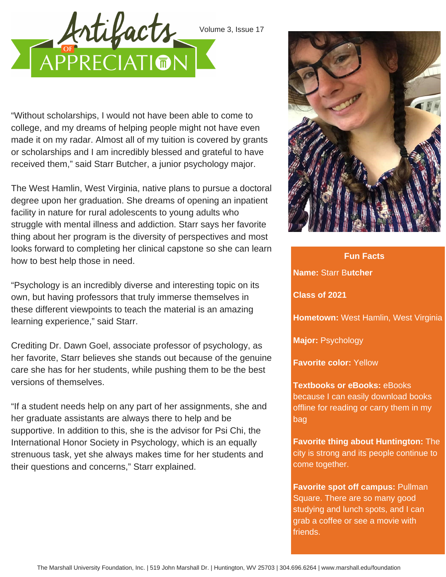

"Without scholarships, I would not have been able to come to college, and my dreams of helping people might not have even made it on my radar. Almost all of my tuition is covered by grants or scholarships and I am incredibly blessed and grateful to have received them," said Starr Butcher, a junior psychology major.

The West Hamlin, West Virginia, native plans to pursue a doctoral degree upon her graduation. She dreams of opening an inpatient facility in nature for rural adolescents to young adults who struggle with mental illness and addiction. Starr says her favorite thing about her program is the diversity of perspectives and most looks forward to completing her clinical capstone so she can learn how to best help those in need.

"Psychology is an incredibly diverse and interesting topic on its own, but having professors that truly immerse themselves in these different viewpoints to teach the material is an amazing learning experience," said Starr.

Crediting Dr. Dawn Goel, associate professor of psychology, as her favorite, Starr believes she stands out because of the genuine care she has for her students, while pushing them to be the best versions of themselves.

"If a student needs help on any part of her assignments, she and her graduate assistants are always there to help and be supportive. In addition to this, she is the advisor for Psi Chi, the International Honor Society in Psychology, which is an equally strenuous task, yet she always makes time for her students and their questions and concerns," Starr explained.



## **Fun Facts Name:** Starr B**utcher Class of 2021 Hometown:** West Hamlin, West Virginia **Major:** Psychology

**Favorite color:** Yellow

bag

**Textbooks or eBooks:** eBooks because I can easily download books offline for reading or carry them in my

**Favorite thing about Huntington:** The city is strong and its people continue to come together.

**Favorite spot off campus:** Pullman Square. There are so many good studying and lunch spots, and I can grab a coffee or see a movie with friends.